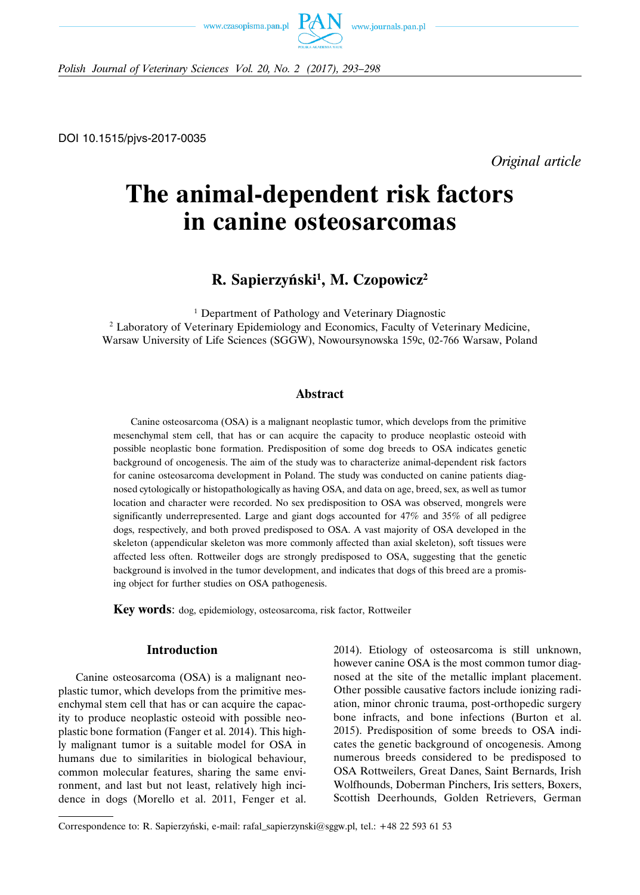



*Polish Journal of Veterinary Sciences Vol. 20, No. 2 (2017), 293–298*

DOI 10.1515/pjvs-2017-0035

*Original article*

# **The animal-dependent risk factors in canine osteosarcomas**

**R. Sapierzyński1 , M. Czopowicz2**

<sup>1</sup> Department of Pathology and Veterinary Diagnostic <sup>2</sup> Laboratory of Veterinary Epidemiology and Economics, Faculty of Veterinary Medicine, Warsaw University of Life Sciences (SGGW), Nowoursynowska 159c, 02-766 Warsaw, Poland

#### **Abstract**

Canine osteosarcoma (OSA) is a malignant neoplastic tumor, which develops from the primitive mesenchymal stem cell, that has or can acquire the capacity to produce neoplastic osteoid with possible neoplastic bone formation. Predisposition of some dog breeds to OSA indicates genetic background of oncogenesis. The aim of the study was to characterize animal-dependent risk factors for canine osteosarcoma development in Poland. The study was conducted on canine patients diagnosed cytologically or histopathologically as having OSA, and data on age, breed, sex, as well as tumor location and character were recorded. No sex predisposition to OSA was observed, mongrels were significantly underrepresented. Large and giant dogs accounted for 47% and 35% of all pedigree dogs, respectively, and both proved predisposed to OSA. A vast majority of OSA developed in the skeleton (appendicular skeleton was more commonly affected than axial skeleton), soft tissues were affected less often. Rottweiler dogs are strongly predisposed to OSA, suggesting that the genetic background is involved in the tumor development, and indicates that dogs of this breed are a promising object for further studies on OSA pathogenesis.

**Key words**: dog, epidemiology, osteosarcoma, risk factor, Rottweiler

### **Introduction**

Canine osteosarcoma (OSA) is a malignant neoplastic tumor, which develops from the primitive mesenchymal stem cell that has or can acquire the capacity to produce neoplastic osteoid with possible neoplastic bone formation (Fanger et al. 2014). This highly malignant tumor is a suitable model for OSA in humans due to similarities in biological behaviour, common molecular features, sharing the same environment, and last but not least, relatively high incidence in dogs (Morello et al. 2011, Fenger et al. 2014). Etiology of osteosarcoma is still unknown, however canine OSA is the most common tumor diagnosed at the site of the metallic implant placement. Other possible causative factors include ionizing radiation, minor chronic trauma, post-orthopedic surgery bone infracts, and bone infections (Burton et al. 2015). Predisposition of some breeds to OSA indicates the genetic background of oncogenesis. Among numerous breeds considered to be predisposed to OSA Rottweilers, Great Danes, Saint Bernards, Irish Wolfhounds, Doberman Pinchers, Iris setters, Boxers, Scottish Deerhounds, Golden Retrievers, German

Correspondence to: R. Sapierzyński, e-mail: rafal–sapierzynski@sggw.pl, tel.: +48 22 593 61 53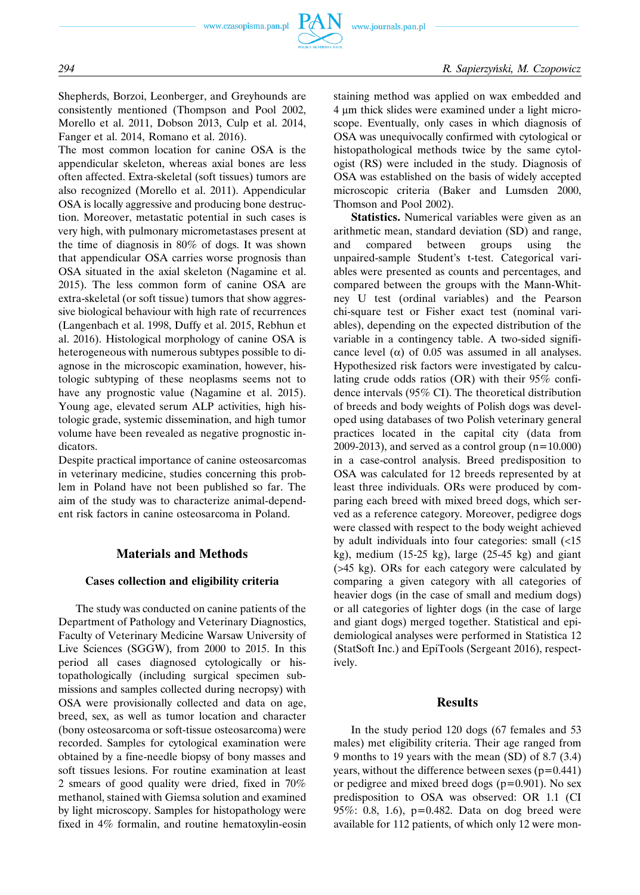

Shepherds, Borzoi, Leonberger, and Greyhounds are consistently mentioned (Thompson and Pool 2002, Morello et al. 2011, Dobson 2013, Culp et al. 2014, Fanger et al. 2014, Romano et al. 2016).

The most common location for canine OSA is the appendicular skeleton, whereas axial bones are less often affected. Extra-skeletal (soft tissues) tumors are also recognized (Morello et al. 2011). Appendicular OSA is locally aggressive and producing bone destruction. Moreover, metastatic potential in such cases is very high, with pulmonary micrometastases present at the time of diagnosis in 80% of dogs. It was shown that appendicular OSA carries worse prognosis than OSA situated in the axial skeleton (Nagamine et al. 2015). The less common form of canine OSA are extra-skeletal (or soft tissue) tumors that show aggressive biological behaviour with high rate of recurrences (Langenbach et al. 1998, Duffy et al. 2015, Rebhun et al. 2016). Histological morphology of canine OSA is heterogeneous with numerous subtypes possible to diagnose in the microscopic examination, however, histologic subtyping of these neoplasms seems not to have any prognostic value (Nagamine et al. 2015). Young age, elevated serum ALP activities, high histologic grade, systemic dissemination, and high tumor volume have been revealed as negative prognostic indicators.

Despite practical importance of canine osteosarcomas in veterinary medicine, studies concerning this problem in Poland have not been published so far. The aim of the study was to characterize animal-dependent risk factors in canine osteosarcoma in Poland.

#### **Materials and Methods**

#### **Cases collection and eligibility criteria**

The study was conducted on canine patients of the Department of Pathology and Veterinary Diagnostics, Faculty of Veterinary Medicine Warsaw University of Live Sciences (SGGW), from 2000 to 2015. In this period all cases diagnosed cytologically or histopathologically (including surgical specimen submissions and samples collected during necropsy) with OSA were provisionally collected and data on age, breed, sex, as well as tumor location and character (bony osteosarcoma or soft-tissue osteosarcoma) were recorded. Samples for cytological examination were obtained by a fine-needle biopsy of bony masses and soft tissues lesions. For routine examination at least 2 smears of good quality were dried, fixed in 70% methanol, stained with Giemsa solution and examined by light microscopy. Samples for histopathology were fixed in 4% formalin, and routine hematoxylin-eosin staining method was applied on wax embedded and 4 μm thick slides were examined under a light microscope. Eventually, only cases in which diagnosis of OSA was unequivocally confirmed with cytological or histopathological methods twice by the same cytologist (RS) were included in the study. Diagnosis of OSA was established on the basis of widely accepted microscopic criteria (Baker and Lumsden 2000, Thomson and Pool 2002).

**Statistics.** Numerical variables were given as an arithmetic mean, standard deviation (SD) and range, and compared between groups using the unpaired-sample Student's t-test. Categorical variables were presented as counts and percentages, and compared between the groups with the Mann-Whitney U test (ordinal variables) and the Pearson chi-square test or Fisher exact test (nominal variables), depending on the expected distribution of the variable in a contingency table. A two-sided significance level ( $\alpha$ ) of 0.05 was assumed in all analyses. Hypothesized risk factors were investigated by calculating crude odds ratios (OR) with their 95% confidence intervals (95% CI). The theoretical distribution of breeds and body weights of Polish dogs was developed using databases of two Polish veterinary general practices located in the capital city (data from 2009-2013), and served as a control group  $(n=10.000)$ in a case-control analysis. Breed predisposition to OSA was calculated for 12 breeds represented by at least three individuals. ORs were produced by comparing each breed with mixed breed dogs, which served as a reference category. Moreover, pedigree dogs were classed with respect to the body weight achieved by adult individuals into four categories: small (<15 kg), medium (15-25 kg), large  $(25-45 \text{ kg})$  and giant (>45 kg). ORs for each category were calculated by comparing a given category with all categories of heavier dogs (in the case of small and medium dogs) or all categories of lighter dogs (in the case of large and giant dogs) merged together. Statistical and epidemiological analyses were performed in Statistica 12 (StatSoft Inc.) and EpiTools (Sergeant 2016), respectively.

#### **Results**

In the study period 120 dogs (67 females and 53 males) met eligibility criteria. Their age ranged from 9 months to 19 years with the mean (SD) of 8.7 (3.4) years, without the difference between sexes  $(p=0.441)$ or pedigree and mixed breed dogs  $(p=0.901)$ . No sex predisposition to OSA was observed: OR 1.1 (CI 95%: 0.8, 1.6), p=0.482. Data on dog breed were available for 112 patients, of which only 12 were mon-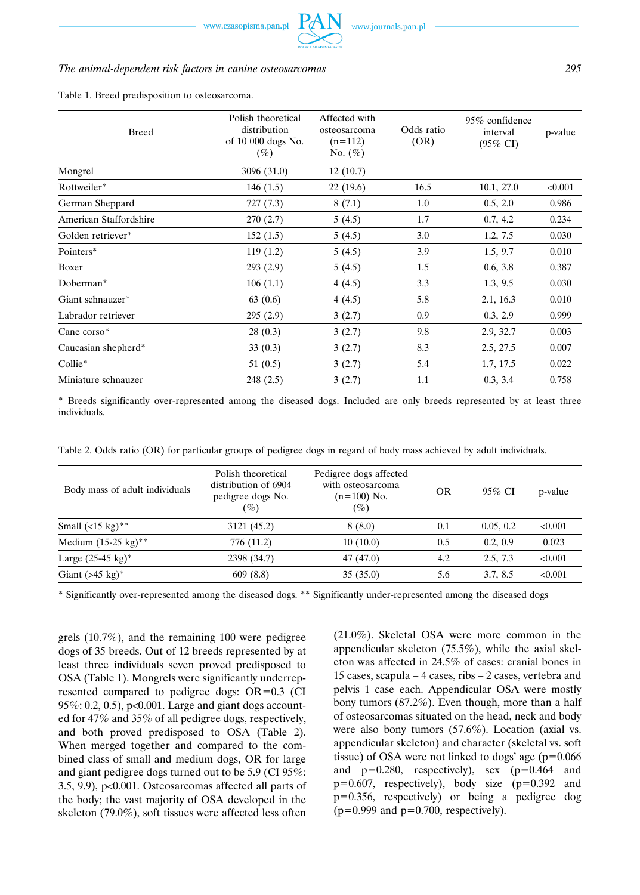#### *The animal-dependent risk factors in canine osteosarcomas 295*

#### Table 1. Breed predisposition to osteosarcoma.

| <b>Breed</b>           | Polish theoretical<br>distribution<br>of 10 000 dogs No.<br>$(\%)$ | Affected with<br>osteosarcoma<br>$(n=112)$<br>No. $(\%)$ | Odds ratio<br>(OR) | 95% confidence<br>interval<br>$(95\% \text{ CI})$ | p-value |
|------------------------|--------------------------------------------------------------------|----------------------------------------------------------|--------------------|---------------------------------------------------|---------|
| Mongrel                | 3096 (31.0)                                                        | 12(10.7)                                                 |                    |                                                   |         |
| Rottweiler*            | 146(1.5)                                                           | 22 (19.6)                                                | 16.5               | 10.1, 27.0                                        | < 0.001 |
| German Sheppard        | 727(7.3)                                                           | 8(7.1)                                                   | 1.0                | 0.5, 2.0                                          | 0.986   |
| American Staffordshire | 270(2.7)                                                           | 5(4.5)                                                   | 1.7                | 0.7, 4.2                                          | 0.234   |
| Golden retriever*      | 152(1.5)                                                           | 5(4.5)                                                   | 3.0                | 1.2, 7.5                                          | 0.030   |
| Pointers*              | 119(1.2)                                                           | 5(4.5)                                                   | 3.9                | 1.5, 9.7                                          | 0.010   |
| Boxer                  | 293(2.9)                                                           | 5(4.5)                                                   | 1.5                | 0.6, 3.8                                          | 0.387   |
| Doberman*              | 106(1.1)                                                           | 4(4.5)                                                   | 3.3                | 1.3, 9.5                                          | 0.030   |
| Giant schnauzer*       | 63(0.6)                                                            | 4(4.5)                                                   | 5.8                | 2.1, 16.3                                         | 0.010   |
| Labrador retriever     | 295(2.9)                                                           | 3(2.7)                                                   | 0.9                | 0.3, 2.9                                          | 0.999   |
| Cane corso*            | 28(0.3)                                                            | 3(2.7)                                                   | 9.8                | 2.9, 32.7                                         | 0.003   |
| Caucasian shepherd*    | 33(0.3)                                                            | 3(2.7)                                                   | 8.3                | 2.5, 27.5                                         | 0.007   |
| Collie*                | 51 $(0.5)$                                                         | 3(2.7)                                                   | 5.4                | 1.7, 17.5                                         | 0.022   |
| Miniature schnauzer    | 248 (2.5)                                                          | 3(2.7)                                                   | 1.1                | 0.3, 3.4                                          | 0.758   |

\* Breeds significantly over-represented among the diseased dogs. Included are only breeds represented by at least three individuals.

Table 2. Odds ratio (OR) for particular groups of pedigree dogs in regard of body mass achieved by adult individuals.

| Body mass of adult individuals         | Polish theoretical<br>distribution of 6904<br>pedigree dogs No.<br>$(\%)$ | Pedigree dogs affected<br>with osteosarcoma<br>$(n=100)$ No.<br>$(\%)$ | OR  | $95\%$ CI | p-value |
|----------------------------------------|---------------------------------------------------------------------------|------------------------------------------------------------------------|-----|-----------|---------|
| Small $(<15 \text{ kg})$ <sup>**</sup> | 3121 (45.2)                                                               | 8(8.0)                                                                 | 0.1 | 0.05, 0.2 | < 0.001 |
| Medium $(15-25 \text{ kg})^{**}$       | 776 (11.2)                                                                | 10(10.0)                                                               | 0.5 | 0.2, 0.9  | 0.023   |
| Large $(25-45 \text{ kg})^*$           | 2398 (34.7)                                                               | 47 (47.0)                                                              | 4.2 | 2.5, 7.3  | < 0.001 |
| Giant $($ >45 kg $)$ <sup>*</sup>      | 609(8.8)                                                                  | 35(35.0)                                                               | 5.6 | 3.7, 8.5  | < 0.001 |

\* Significantly over-represented among the diseased dogs. \*\* Significantly under-represented among the diseased dogs

grels (10.7%), and the remaining 100 were pedigree dogs of 35 breeds. Out of 12 breeds represented by at least three individuals seven proved predisposed to OSA (Table 1). Mongrels were significantly underrepresented compared to pedigree dogs: OR=0.3 (CI 95%: 0.2, 0.5), p<0.001. Large and giant dogs accounted for 47% and 35% of all pedigree dogs, respectively, and both proved predisposed to OSA (Table 2). When merged together and compared to the combined class of small and medium dogs, OR for large and giant pedigree dogs turned out to be 5.9 (CI 95%: 3.5, 9.9), p<0.001. Osteosarcomas affected all parts of the body; the vast majority of OSA developed in the skeleton (79.0%), soft tissues were affected less often (21.0%). Skeletal OSA were more common in the appendicular skeleton (75.5%), while the axial skeleton was affected in 24.5% of cases: cranial bones in 15 cases, scapula – 4 cases, ribs – 2 cases, vertebra and pelvis 1 case each. Appendicular OSA were mostly bony tumors (87.2%). Even though, more than a half of osteosarcomas situated on the head, neck and body were also bony tumors (57.6%). Location (axial vs. appendicular skeleton) and character (skeletal vs. soft tissue) of OSA were not linked to dogs' age  $(p=0.066)$ and p=0.280, respectively), sex (p=0.464 and  $p=0.607$ , respectively), body size  $(p=0.392$  and p=0.356, respectively) or being a pedigree dog  $(p=0.999$  and  $p=0.700$ , respectively).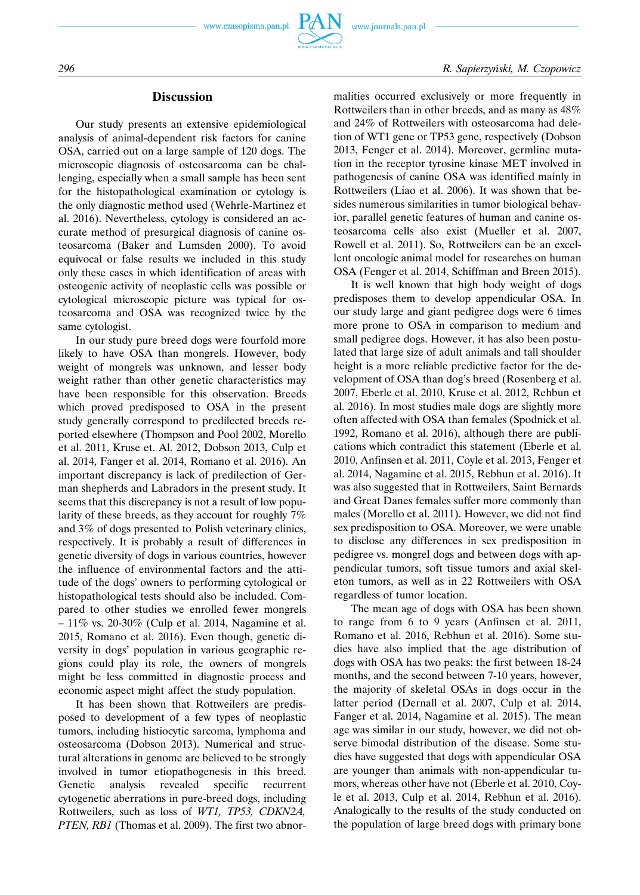

# *296 R. Sapierzyński, M. Czopowicz*

## **Discussion**

Our study presents an extensive epidemiological analysis of animal-dependent risk factors for canine OSA, carried out on a large sample of 120 dogs. The microscopic diagnosis of osteosarcoma can be challenging, especially when a small sample has been sent for the histopathological examination or cytology is the only diagnostic method used (Wehrle-Martinez et al. 2016). Nevertheless, cytology is considered an accurate method of presurgical diagnosis of canine osteosarcoma (Baker and Lumsden 2000). To avoid equivocal or false results we included in this study only these cases in which identification of areas with osteogenic activity of neoplastic cells was possible or cytological microscopic picture was typical for osteosarcoma and OSA was recognized twice by the same cytologist.

In our study pure breed dogs were fourfold more likely to have OSA than mongrels. However, body weight of mongrels was unknown, and lesser body weight rather than other genetic characteristics may have been responsible for this observation. Breeds which proved predisposed to OSA in the present study generally correspond to predilected breeds reported elsewhere (Thompson and Pool 2002, Morello et al. 2011, Kruse et. Al. 2012, Dobson 2013, Culp et al. 2014, Fanger et al. 2014, Romano et al. 2016). An important discrepancy is lack of predilection of German shepherds and Labradors in the present study. It seems that this discrepancy is not a result of low popularity of these breeds, as they account for roughly 7% and 3% of dogs presented to Polish veterinary clinics, respectively. It is probably a result of differences in genetic diversity of dogs in various countries, however the influence of environmental factors and the attitude of the dogs' owners to performing cytological or histopathological tests should also be included. Compared to other studies we enrolled fewer mongrels  $-11\%$  vs. 20-30% (Culp et al. 2014, Nagamine et al. 2015, Romano et al. 2016). Even though, genetic diversity in dogs' population in various geographic regions could play its role, the owners of mongrels might be less committed in diagnostic process and economic aspect might affect the study population.

It has been shown that Rottweilers are predisposed to development of a few types of neoplastic tumors, including histiocytic sarcoma, lymphoma and osteosarcoma (Dobson 2013). Numerical and structural alterations in genome are believed to be strongly involved in tumor etiopathogenesis in this breed. Genetic analysis revealed specific recurrent cytogenetic aberrations in pure-breed dogs, including Rottweilers, such as loss of *WT1, TP53, CDKN2A, PTEN, RB1* (Thomas et al. 2009). The first two abnormalities occurred exclusively or more frequently in Rottweilers than in other breeds, and as many as 48% and 24% of Rottweilers with osteosarcoma had deletion of WT1 gene or TP53 gene, respectively (Dobson 2013, Fenger et al. 2014). Moreover, germline mutation in the receptor tyrosine kinase MET involved in pathogenesis of canine OSA was identified mainly in Rottweilers (Liao et al. 2006). It was shown that besides numerous similarities in tumor biological behavior, parallel genetic features of human and canine osteosarcoma cells also exist (Mueller et al. 2007, Rowell et al. 2011). So, Rottweilers can be an excellent oncologic animal model for researches on human OSA (Fenger et al. 2014, Schiffman and Breen 2015).

It is well known that high body weight of dogs predisposes them to develop appendicular OSA. In our study large and giant pedigree dogs were 6 times more prone to OSA in comparison to medium and small pedigree dogs. However, it has also been postulated that large size of adult animals and tall shoulder height is a more reliable predictive factor for the development of OSA than dog's breed (Rosenberg et al. 2007, Eberle et al. 2010, Kruse et al. 2012, Rehbun et al. 2016). In most studies male dogs are slightly more often affected with OSA than females (Spodnick et al. 1992, Romano et al. 2016), although there are publications which contradict this statement (Eberle et al. 2010, Anfinsen et al. 2011, Coyle et al. 2013, Fenger et al. 2014, Nagamine et al. 2015, Rebhun et al. 2016). It was also suggested that in Rottweilers, Saint Bernards and Great Danes females suffer more commonly than males (Morello et al. 2011). However, we did not find sex predisposition to OSA. Moreover, we were unable to disclose any differences in sex predisposition in pedigree vs. mongrel dogs and between dogs with appendicular tumors, soft tissue tumors and axial skeleton tumors, as well as in 22 Rottweilers with OSA regardless of tumor location.

The mean age of dogs with OSA has been shown to range from 6 to 9 years (Anfinsen et al. 2011, Romano et al. 2016, Rebhun et al. 2016). Some studies have also implied that the age distribution of dogs with OSA has two peaks: the first between 18-24 months, and the second between 7-10 years, however, the majority of skeletal OSAs in dogs occur in the latter period (Dernall et al. 2007, Culp et al. 2014, Fanger et al. 2014, Nagamine et al. 2015). The mean age was similar in our study, however, we did not observe bimodal distribution of the disease. Some studies have suggested that dogs with appendicular OSA are younger than animals with non-appendicular tumors, whereas other have not (Eberle et al. 2010, Coyle et al. 2013, Culp et al. 2014, Rebhun et al. 2016). Analogically to the results of the study conducted on the population of large breed dogs with primary bone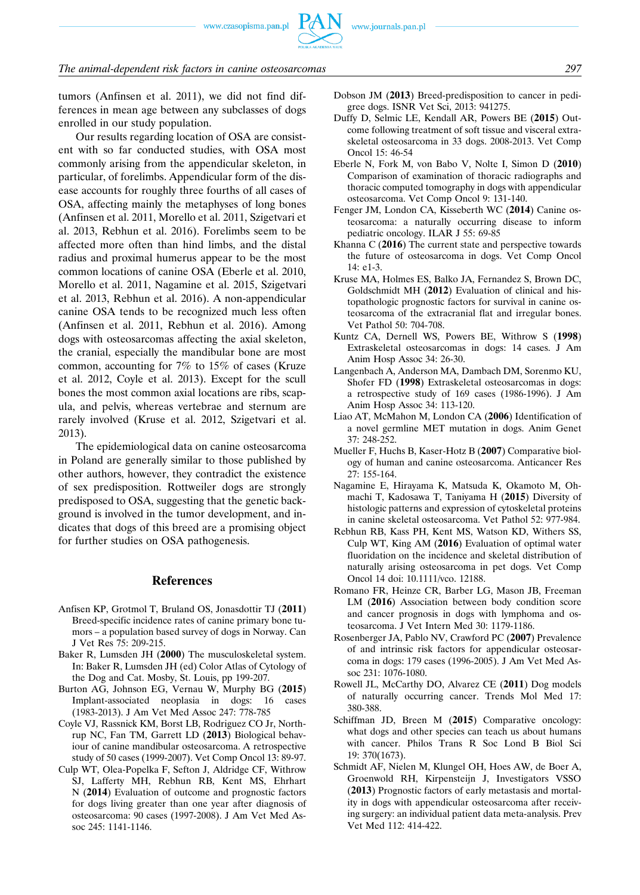www.czasopisma.pan.pl

#### *The animal-dependent risk factors in canine osteosarcomas 297*

tumors (Anfinsen et al. 2011), we did not find differences in mean age between any subclasses of dogs enrolled in our study population.

Our results regarding location of OSA are consistent with so far conducted studies, with OSA most commonly arising from the appendicular skeleton, in particular, of forelimbs. Appendicular form of the disease accounts for roughly three fourths of all cases of OSA, affecting mainly the metaphyses of long bones (Anfinsen et al. 2011, Morello et al. 2011, Szigetvari et al. 2013, Rebhun et al. 2016). Forelimbs seem to be affected more often than hind limbs, and the distal radius and proximal humerus appear to be the most common locations of canine OSA (Eberle et al. 2010, Morello et al. 2011, Nagamine et al. 2015, Szigetvari et al. 2013, Rebhun et al. 2016). A non-appendicular canine OSA tends to be recognized much less often (Anfinsen et al. 2011, Rebhun et al. 2016). Among dogs with osteosarcomas affecting the axial skeleton, the cranial, especially the mandibular bone are most common, accounting for 7% to 15% of cases (Kruze et al. 2012, Coyle et al. 2013). Except for the scull bones the most common axial locations are ribs, scapula, and pelvis, whereas vertebrae and sternum are rarely involved (Kruse et al. 2012, Szigetvari et al. 2013).

The epidemiological data on canine osteosarcoma in Poland are generally similar to those published by other authors, however, they contradict the existence of sex predisposition. Rottweiler dogs are strongly predisposed to OSA, suggesting that the genetic background is involved in the tumor development, and indicates that dogs of this breed are a promising object for further studies on OSA pathogenesis.

#### **References**

- Anfisen KP, Grotmol T, Bruland OS, Jonasdottir TJ (**2011**) Breed-specific incidence rates of canine primary bone tumors – a population based survey of dogs in Norway. Can J Vet Res 75: 209-215.
- Baker R, Lumsden JH (**2000**) The musculoskeletal system. In: Baker R, Lumsden JH (ed) Color Atlas of Cytology of the Dog and Cat. Mosby, St. Louis, pp 199-207.
- Burton AG, Johnson EG, Vernau W, Murphy BG (**2015**) Implant-associated neoplasia in dogs: 16 cases (1983-2013). J Am Vet Med Assoc 247: 778-785
- Coyle VJ, Rassnick KM, Borst LB, Rodriguez CO Jr, Northrup NC, Fan TM, Garrett LD (**2013**) Biological behaviour of canine mandibular osteosarcoma. A retrospective study of 50 cases (1999-2007). Vet Comp Oncol 13: 89-97.
- Culp WT, Olea-Popelka F, Sefton J, Aldridge CF, Withrow SJ, Lafferty MH, Rebhun RB, Kent MS, Ehrhart N (**2014**) Evaluation of outcome and prognostic factors for dogs living greater than one year after diagnosis of osteosarcoma: 90 cases (1997-2008). J Am Vet Med Assoc 245: 1141-1146.
- Dobson JM (**2013**) Breed-predisposition to cancer in pedigree dogs. ISNR Vet Sci, 2013: 941275.
- Duffy D, Selmic LE, Kendall AR, Powers BE (**2015**) Outcome following treatment of soft tissue and visceral extraskeletal osteosarcoma in 33 dogs. 2008-2013. Vet Comp Oncol 15: 46-54
- Eberle N, Fork M, von Babo V, Nolte I, Simon D (**2010**) Comparison of examination of thoracic radiographs and thoracic computed tomography in dogs with appendicular osteosarcoma. Vet Comp Oncol 9: 131-140.
- Fenger JM, London CA, Kisseberth WC (**2014**) Canine osteosarcoma: a naturally occurring disease to inform pediatric oncology. ILAR J 55: 69-85
- Khanna C (**2016**) The current state and perspective towards the future of osteosarcoma in dogs. Vet Comp Oncol 14: e1-3.
- Kruse MA, Holmes ES, Balko JA, Fernandez S, Brown DC, Goldschmidt MH (**2012**) Evaluation of clinical and histopathologic prognostic factors for survival in canine osteosarcoma of the extracranial flat and irregular bones. Vet Pathol 50: 704-708.
- Kuntz CA, Dernell WS, Powers BE, Withrow S (**1998**) Extraskeletal osteosarcomas in dogs: 14 cases. J Am Anim Hosp Assoc 34: 26-30.
- Langenbach A, Anderson MA, Dambach DM, Sorenmo KU, Shofer FD (**1998**) Extraskeletal osteosarcomas in dogs: a retrospective study of 169 cases (1986-1996). J Am Anim Hosp Assoc 34: 113-120.
- Liao AT, McMahon M, London CA (**2006**) Identification of a novel germline MET mutation in dogs. Anim Genet 37: 248-252.
- Mueller F, Huchs B, Kaser-Hotz B (**2007**) Comparative biology of human and canine osteosarcoma. Anticancer Res 27: 155-164.
- Nagamine E, Hirayama K, Matsuda K, Okamoto M, Ohmachi T, Kadosawa T, Taniyama H (**2015**) Diversity of histologic patterns and expression of cytoskeletal proteins in canine skeletal osteosarcoma. Vet Pathol 52: 977-984.
- Rebhun RB, Kass PH, Kent MS, Watson KD, Withers SS, Culp WT, King AM (**2016**) Evaluation of optimal water fluoridation on the incidence and skeletal distribution of naturally arising osteosarcoma in pet dogs. Vet Comp Oncol 14 doi: 10.1111/vco. 12188.
- Romano FR, Heinze CR, Barber LG, Mason JB, Freeman LM (**2016**) Association between body condition score and cancer prognosis in dogs with lymphoma and osteosarcoma. J Vet Intern Med 30: 1179-1186.
- Rosenberger JA, Pablo NV, Crawford PC (**2007**) Prevalence of and intrinsic risk factors for appendicular osteosarcoma in dogs: 179 cases (1996-2005). J Am Vet Med Assoc 231: 1076-1080.
- Rowell JL, McCarthy DO, Alvarez CE (**2011**) Dog models of naturally occurring cancer. Trends Mol Med 17: 380-388.
- Schiffman JD, Breen M (**2015**) Comparative oncology: what dogs and other species can teach us about humans with cancer. Philos Trans R Soc Lond B Biol Sci 19: 370(1673).
- Schmidt AF, Nielen M, Klungel OH, Hoes AW, de Boer A, Groenwold RH, Kirpensteijn J, Investigators VSSO (**2013**) Prognostic factors of early metastasis and mortality in dogs with appendicular osteosarcoma after receiving surgery: an individual patient data meta-analysis. Prev Vet Med 112: 414-422.